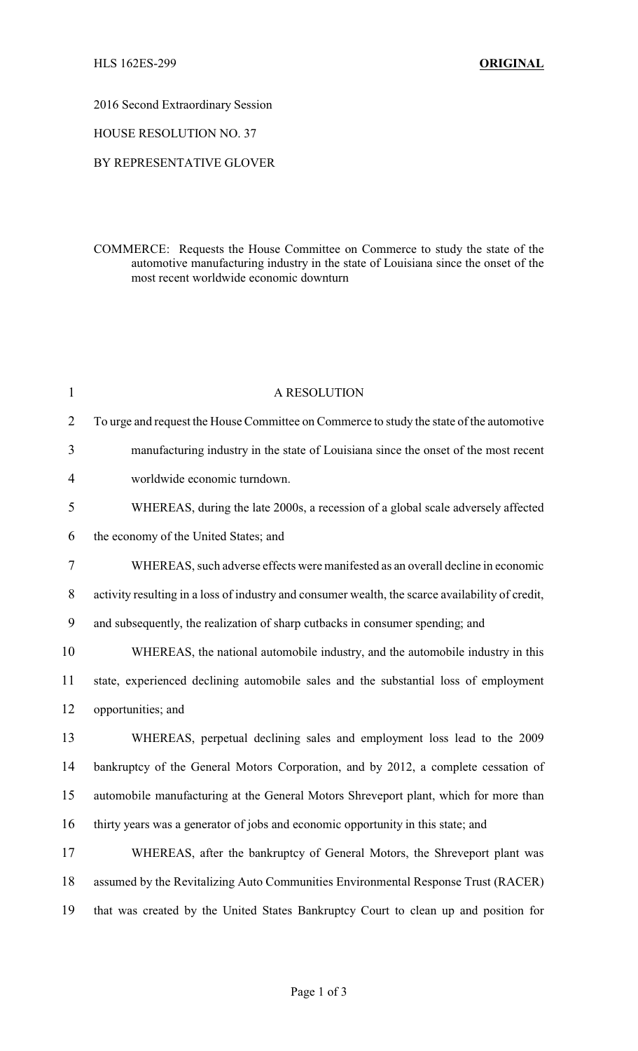## 2016 Second Extraordinary Session

## HOUSE RESOLUTION NO. 37

## BY REPRESENTATIVE GLOVER

COMMERCE: Requests the House Committee on Commerce to study the state of the automotive manufacturing industry in the state of Louisiana since the onset of the most recent worldwide economic downturn

| 1              | A RESOLUTION                                                                                     |
|----------------|--------------------------------------------------------------------------------------------------|
| $\overline{2}$ | To urge and request the House Committee on Commerce to study the state of the automotive         |
| 3              | manufacturing industry in the state of Louisiana since the onset of the most recent              |
| $\overline{4}$ | worldwide economic turndown.                                                                     |
| 5              | WHEREAS, during the late 2000s, a recession of a global scale adversely affected                 |
| 6              | the economy of the United States; and                                                            |
| $\tau$         | WHEREAS, such adverse effects were manifested as an overall decline in economic                  |
| 8              | activity resulting in a loss of industry and consumer wealth, the scarce availability of credit, |
| 9              | and subsequently, the realization of sharp cutbacks in consumer spending; and                    |
| 10             | WHEREAS, the national automobile industry, and the automobile industry in this                   |
| 11             | state, experienced declining automobile sales and the substantial loss of employment             |
| 12             | opportunities; and                                                                               |
| 13             | WHEREAS, perpetual declining sales and employment loss lead to the 2009                          |
| 14             | bankruptcy of the General Motors Corporation, and by 2012, a complete cessation of               |
| 15             | automobile manufacturing at the General Motors Shreveport plant, which for more than             |
| 16             | thirty years was a generator of jobs and economic opportunity in this state; and                 |
| 17             | WHEREAS, after the bankruptcy of General Motors, the Shreveport plant was                        |
| 18             | assumed by the Revitalizing Auto Communities Environmental Response Trust (RACER)                |
| 19             | that was created by the United States Bankruptcy Court to clean up and position for              |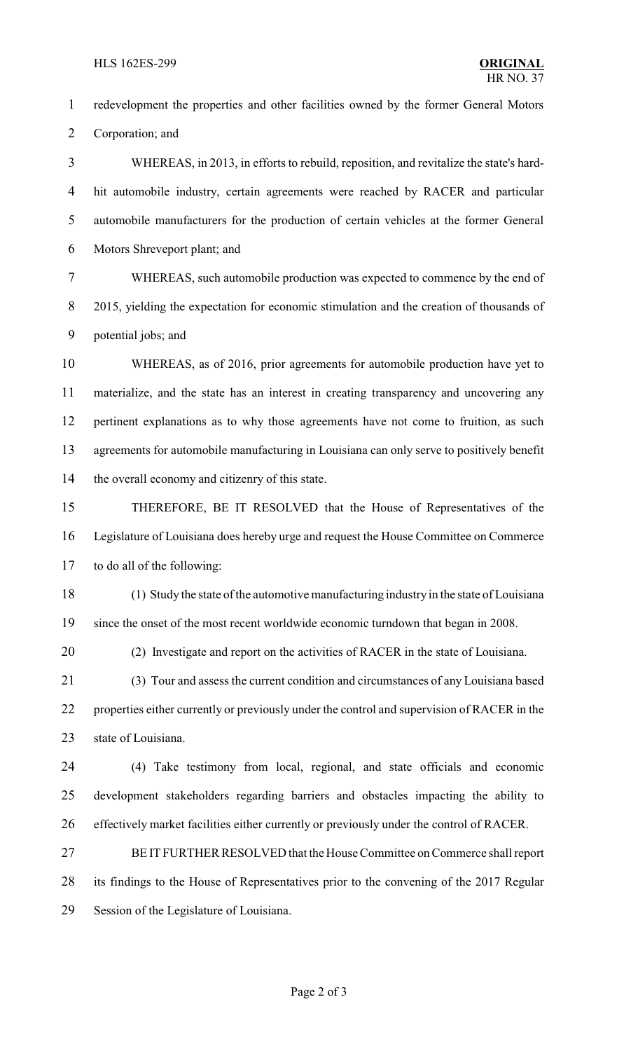redevelopment the properties and other facilities owned by the former General Motors Corporation; and WHEREAS, in 2013, in efforts to rebuild, reposition, and revitalize the state's hard- hit automobile industry, certain agreements were reached by RACER and particular automobile manufacturers for the production of certain vehicles at the former General Motors Shreveport plant; and WHEREAS, such automobile production was expected to commence by the end of 2015, yielding the expectation for economic stimulation and the creation of thousands of potential jobs; and WHEREAS, as of 2016, prior agreements for automobile production have yet to materialize, and the state has an interest in creating transparency and uncovering any pertinent explanations as to why those agreements have not come to fruition, as such agreements for automobile manufacturing in Louisiana can only serve to positively benefit the overall economy and citizenry of this state. THEREFORE, BE IT RESOLVED that the House of Representatives of the Legislature of Louisiana does hereby urge and request the House Committee on Commerce to do all of the following: (1) Study the state of the automotive manufacturing industry in the state of Louisiana since the onset of the most recent worldwide economic turndown that began in 2008. (2) Investigate and report on the activities of RACER in the state of Louisiana. (3) Tour and assess the current condition and circumstances of any Louisiana based 22 properties either currently or previously under the control and supervision of RACER in the state of Louisiana. (4) Take testimony from local, regional, and state officials and economic development stakeholders regarding barriers and obstacles impacting the ability to effectively market facilities either currently or previously under the control of RACER. BE IT FURTHER RESOLVED that the House Committee on Commerce shall report its findings to the House of Representatives prior to the convening of the 2017 Regular Session of the Legislature of Louisiana.